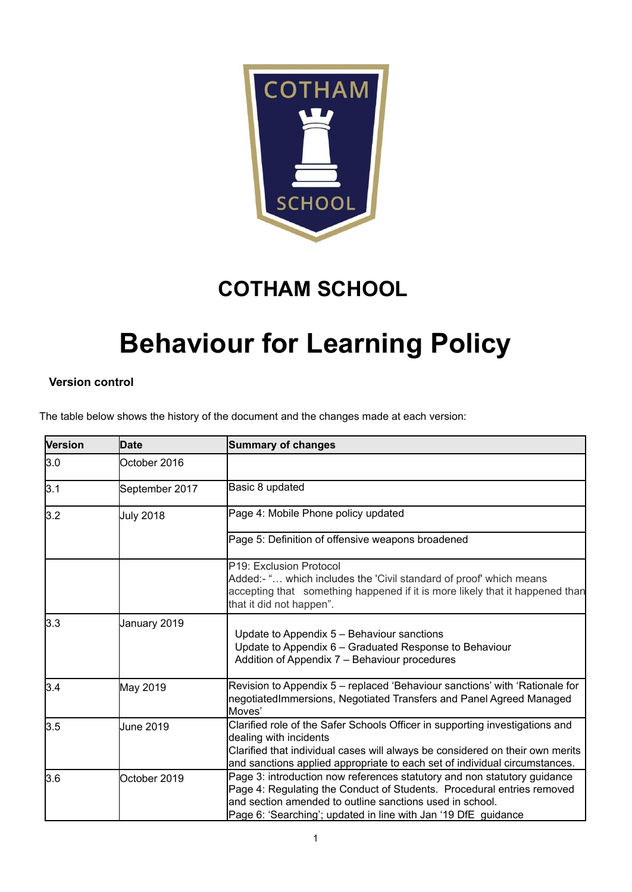

## **COTHAM SCHOOL**

# **Behaviour for Learning Policy**

#### **Version control**

The table below shows the history of the document and the changes made at each version:

| <b>Version</b> | Date             | <b>Summary of changes</b>                                                                                                                                                                                                                                                        |
|----------------|------------------|----------------------------------------------------------------------------------------------------------------------------------------------------------------------------------------------------------------------------------------------------------------------------------|
| 3.0            | October 2016     |                                                                                                                                                                                                                                                                                  |
| 3.1            | September 2017   | Basic 8 updated                                                                                                                                                                                                                                                                  |
| 3.2            | <b>July 2018</b> | Page 4: Mobile Phone policy updated                                                                                                                                                                                                                                              |
|                |                  | Page 5: Definition of offensive weapons broadened                                                                                                                                                                                                                                |
|                |                  | P19: Exclusion Protocol<br>Added:- " which includes the 'Civil standard of proof' which means<br>accepting that something happened if it is more likely that it happened than<br>that it did not happen".                                                                        |
| 3.3            | January 2019     | Update to Appendix 5 - Behaviour sanctions<br>Update to Appendix 6 - Graduated Response to Behaviour<br>Addition of Appendix 7 - Behaviour procedures                                                                                                                            |
| 3.4            | May 2019         | Revision to Appendix 5 - replaced 'Behaviour sanctions' with 'Rationale for<br>negotiatedImmersions, Negotiated Transfers and Panel Agreed Managed<br>Moves'                                                                                                                     |
| 3.5            | June 2019        | Clarified role of the Safer Schools Officer in supporting investigations and<br>dealing with incidents<br>Clarified that individual cases will always be considered on their own merits<br>and sanctions applied appropriate to each set of individual circumstances.            |
| 3.6            | October 2019     | Page 3: introduction now references statutory and non statutory guidance<br>Page 4: Regulating the Conduct of Students. Procedural entries removed<br>and section amended to outline sanctions used in school.<br>Page 6: 'Searching'; updated in line with Jan '19 DfE guidance |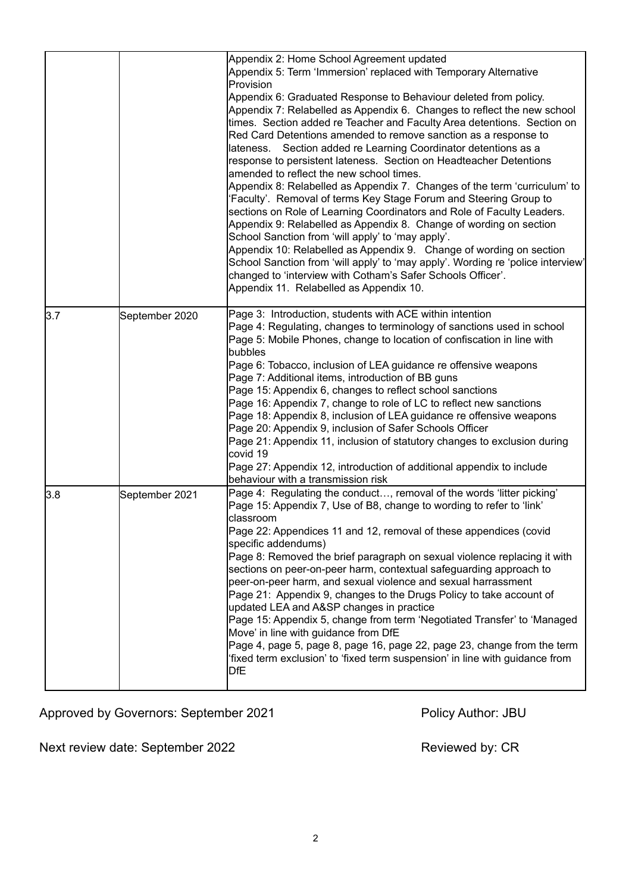|     |                | Appendix 2: Home School Agreement updated<br>Appendix 5: Term 'Immersion' replaced with Temporary Alternative<br><b>IProvision</b><br>Appendix 6: Graduated Response to Behaviour deleted from policy.<br>Appendix 7: Relabelled as Appendix 6. Changes to reflect the new school<br>times. Section added re Teacher and Faculty Area detentions. Section on<br>Red Card Detentions amended to remove sanction as a response to<br>lateness. Section added re Learning Coordinator detentions as a<br>response to persistent lateness. Section on Headteacher Detentions<br>amended to reflect the new school times.<br>Appendix 8: Relabelled as Appendix 7. Changes of the term 'curriculum' to<br>'Faculty'. Removal of terms Key Stage Forum and Steering Group to<br>sections on Role of Learning Coordinators and Role of Faculty Leaders.<br>Appendix 9: Relabelled as Appendix 8. Change of wording on section<br>School Sanction from 'will apply' to 'may apply'.<br>Appendix 10: Relabelled as Appendix 9. Change of wording on section<br>School Sanction from 'will apply' to 'may apply'. Wording re 'police interview'<br>changed to 'interview with Cotham's Safer Schools Officer'.<br>Appendix 11. Relabelled as Appendix 10. |
|-----|----------------|-------------------------------------------------------------------------------------------------------------------------------------------------------------------------------------------------------------------------------------------------------------------------------------------------------------------------------------------------------------------------------------------------------------------------------------------------------------------------------------------------------------------------------------------------------------------------------------------------------------------------------------------------------------------------------------------------------------------------------------------------------------------------------------------------------------------------------------------------------------------------------------------------------------------------------------------------------------------------------------------------------------------------------------------------------------------------------------------------------------------------------------------------------------------------------------------------------------------------------------------------|
| 3.7 | September 2020 | Page 3: Introduction, students with ACE within intention<br>Page 4: Regulating, changes to terminology of sanctions used in school<br>Page 5: Mobile Phones, change to location of confiscation in line with<br>bubbles<br>Page 6: Tobacco, inclusion of LEA guidance re offensive weapons<br>Page 7: Additional items, introduction of BB guns<br>Page 15: Appendix 6, changes to reflect school sanctions<br>Page 16: Appendix 7, change to role of LC to reflect new sanctions<br>Page 18: Appendix 8, inclusion of LEA guidance re offensive weapons<br>Page 20: Appendix 9, inclusion of Safer Schools Officer<br>Page 21: Appendix 11, inclusion of statutory changes to exclusion during<br>covid 19<br>Page 27: Appendix 12, introduction of additional appendix to include<br>behaviour with a transmission risk                                                                                                                                                                                                                                                                                                                                                                                                                       |
| 3.8 | September 2021 | Page 4: Regulating the conduct, removal of the words 'litter picking'<br>Page 15: Appendix 7, Use of B8, change to wording to refer to 'link'<br>classroom<br>Page 22: Appendices 11 and 12, removal of these appendices (covid<br>specific addendums)<br>Page 8: Removed the brief paragraph on sexual violence replacing it with<br>sections on peer-on-peer harm, contextual safeguarding approach to<br>peer-on-peer harm, and sexual violence and sexual harrassment<br>Page 21: Appendix 9, changes to the Drugs Policy to take account of<br>updated LEA and A&SP changes in practice<br>Page 15: Appendix 5, change from term 'Negotiated Transfer' to 'Managed<br>Move' in line with guidance from DfE<br>Page 4, page 5, page 8, page 16, page 22, page 23, change from the term<br>'fixed term exclusion' to 'fixed term suspension' in line with guidance from<br>DfE                                                                                                                                                                                                                                                                                                                                                               |

Approved by Governors: September 2021 Policy Author: JBU

Next review date: September 2022 Mext reviewed by: CR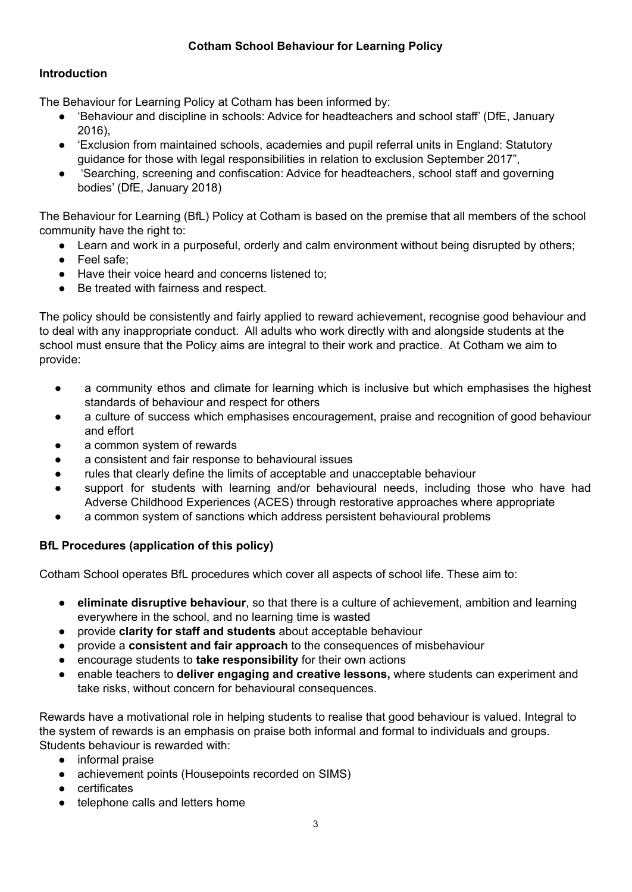#### **Cotham School Behaviour for Learning Policy**

#### **Introduction**

The Behaviour for Learning Policy at Cotham has been informed by:

- Sehaviour and discipline in schools: Advice for headteachers and school staff' (DfE, January 2016),
- 'Exclusion from maintained schools, academies and pupil referral units in England: Statutory guidance for those with legal responsibilities in relation to exclusion September 2017",
- 'Searching, screening and confiscation: Advice for headteachers, school staff and governing bodies' (DfE, January 2018)

The Behaviour for Learning (BfL) Policy at Cotham is based on the premise that all members of the school community have the right to:

- Learn and work in a purposeful, orderly and calm environment without being disrupted by others;
- Feel safe;
- Have their voice heard and concerns listened to:
- Be treated with fairness and respect.

The policy should be consistently and fairly applied to reward achievement, recognise good behaviour and to deal with any inappropriate conduct. All adults who work directly with and alongside students at the school must ensure that the Policy aims are integral to their work and practice. At Cotham we aim to provide:

- a community ethos and climate for learning which is inclusive but which emphasises the highest standards of behaviour and respect for others
- a culture of success which emphasises encouragement, praise and recognition of good behaviour and effort
- a common system of rewards
- a consistent and fair response to behavioural issues
- rules that clearly define the limits of acceptable and unacceptable behaviour
- support for students with learning and/or behavioural needs, including those who have had Adverse Childhood Experiences (ACES) through restorative approaches where appropriate
- a common system of sanctions which address persistent behavioural problems

#### **BfL Procedures (application of this policy)**

Cotham School operates BfL procedures which cover all aspects of school life. These aim to:

- **eliminate disruptive behaviour**, so that there is a culture of achievement, ambition and learning everywhere in the school, and no learning time is wasted
- provide **clarity for staff and students** about acceptable behaviour
- provide a **consistent and fair approach** to the consequences of misbehaviour
- encourage students to **take responsibility** for their own actions
- enable teachers to **deliver engaging and creative lessons,** where students can experiment and take risks, without concern for behavioural consequences.

Rewards have a motivational role in helping students to realise that good behaviour is valued. Integral to the system of rewards is an emphasis on praise both informal and formal to individuals and groups. Students behaviour is rewarded with:

- informal praise
- achievement points (Housepoints recorded on SIMS)
- certificates
- telephone calls and letters home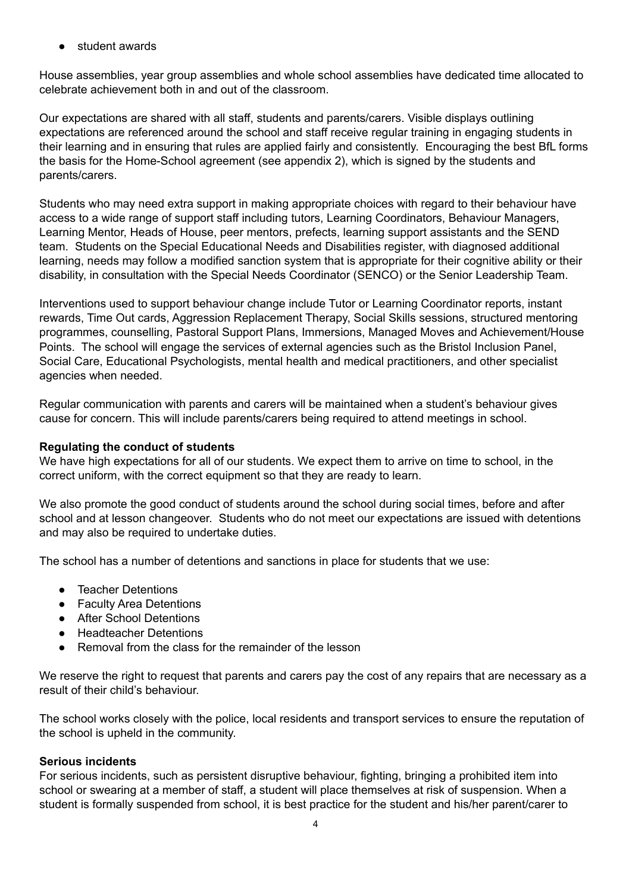student awards

House assemblies, year group assemblies and whole school assemblies have dedicated time allocated to celebrate achievement both in and out of the classroom.

Our expectations are shared with all staff, students and parents/carers. Visible displays outlining expectations are referenced around the school and staff receive regular training in engaging students in their learning and in ensuring that rules are applied fairly and consistently. Encouraging the best BfL forms the basis for the Home-School agreement (see appendix 2), which is signed by the students and parents/carers.

Students who may need extra support in making appropriate choices with regard to their behaviour have access to a wide range of support staff including tutors, Learning Coordinators, Behaviour Managers, Learning Mentor, Heads of House, peer mentors, prefects, learning support assistants and the SEND team. Students on the Special Educational Needs and Disabilities register, with diagnosed additional learning, needs may follow a modified sanction system that is appropriate for their cognitive ability or their disability, in consultation with the Special Needs Coordinator (SENCO) or the Senior Leadership Team.

Interventions used to support behaviour change include Tutor or Learning Coordinator reports, instant rewards, Time Out cards, Aggression Replacement Therapy, Social Skills sessions, structured mentoring programmes, counselling, Pastoral Support Plans, Immersions, Managed Moves and Achievement/House Points. The school will engage the services of external agencies such as the Bristol Inclusion Panel, Social Care, Educational Psychologists, mental health and medical practitioners, and other specialist agencies when needed.

Regular communication with parents and carers will be maintained when a student's behaviour gives cause for concern. This will include parents/carers being required to attend meetings in school.

#### **Regulating the conduct of students**

We have high expectations for all of our students. We expect them to arrive on time to school, in the correct uniform, with the correct equipment so that they are ready to learn.

We also promote the good conduct of students around the school during social times, before and after school and at lesson changeover. Students who do not meet our expectations are issued with detentions and may also be required to undertake duties.

The school has a number of detentions and sanctions in place for students that we use:

- Teacher Detentions
- Faculty Area Detentions
- After School Detentions
- Headteacher Detentions
- Removal from the class for the remainder of the lesson

We reserve the right to request that parents and carers pay the cost of any repairs that are necessary as a result of their child's behaviour.

The school works closely with the police, local residents and transport services to ensure the reputation of the school is upheld in the community.

#### **Serious incidents**

For serious incidents, such as persistent disruptive behaviour, fighting, bringing a prohibited item into school or swearing at a member of staff, a student will place themselves at risk of suspension. When a student is formally suspended from school, it is best practice for the student and his/her parent/carer to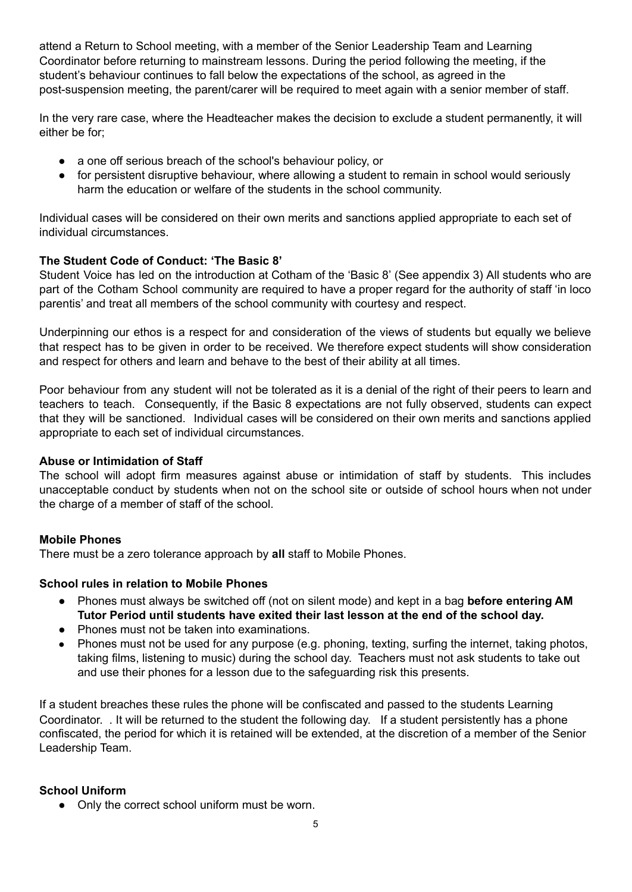attend a Return to School meeting, with a member of the Senior Leadership Team and Learning Coordinator before returning to mainstream lessons. During the period following the meeting, if the student's behaviour continues to fall below the expectations of the school, as agreed in the post-suspension meeting, the parent/carer will be required to meet again with a senior member of staff.

In the very rare case, where the Headteacher makes the decision to exclude a student permanently, it will either be for;

- a one off serious breach of the school's behaviour policy, or
- for persistent disruptive behaviour, where allowing a student to remain in school would seriously harm the education or welfare of the students in the school community.

Individual cases will be considered on their own merits and sanctions applied appropriate to each set of individual circumstances.

#### **The Student Code of Conduct: 'The Basic 8'**

Student Voice has led on the introduction at Cotham of the 'Basic 8' (See appendix 3) All students who are part of the Cotham School community are required to have a proper regard for the authority of staff 'in loco parentis' and treat all members of the school community with courtesy and respect.

Underpinning our ethos is a respect for and consideration of the views of students but equally we believe that respect has to be given in order to be received. We therefore expect students will show consideration and respect for others and learn and behave to the best of their ability at all times.

Poor behaviour from any student will not be tolerated as it is a denial of the right of their peers to learn and teachers to teach. Consequently, if the Basic 8 expectations are not fully observed, students can expect that they will be sanctioned. Individual cases will be considered on their own merits and sanctions applied appropriate to each set of individual circumstances.

#### **Abuse or Intimidation of Staff**

The school will adopt firm measures against abuse or intimidation of staff by students. This includes unacceptable conduct by students when not on the school site or outside of school hours when not under the charge of a member of staff of the school.

#### **Mobile Phones**

There must be a zero tolerance approach by **all** staff to Mobile Phones.

#### **School rules in relation to Mobile Phones**

- Phones must always be switched off (not on silent mode) and kept in a bag **before entering AM Tutor Period until students have exited their last lesson at the end of the school day.**
- Phones must not be taken into examinations.
- **●** Phones must not be used for any purpose (e.g. phoning, texting, surfing the internet, taking photos, taking films, listening to music) during the school day. Teachers must not ask students to take out and use their phones for a lesson due to the safeguarding risk this presents.

If a student breaches these rules the phone will be confiscated and passed to the students Learning Coordinator. . It will be returned to the student the following day. If a student persistently has a phone confiscated, the period for which it is retained will be extended, at the discretion of a member of the Senior Leadership Team.

#### **School Uniform**

• Only the correct school uniform must be worn.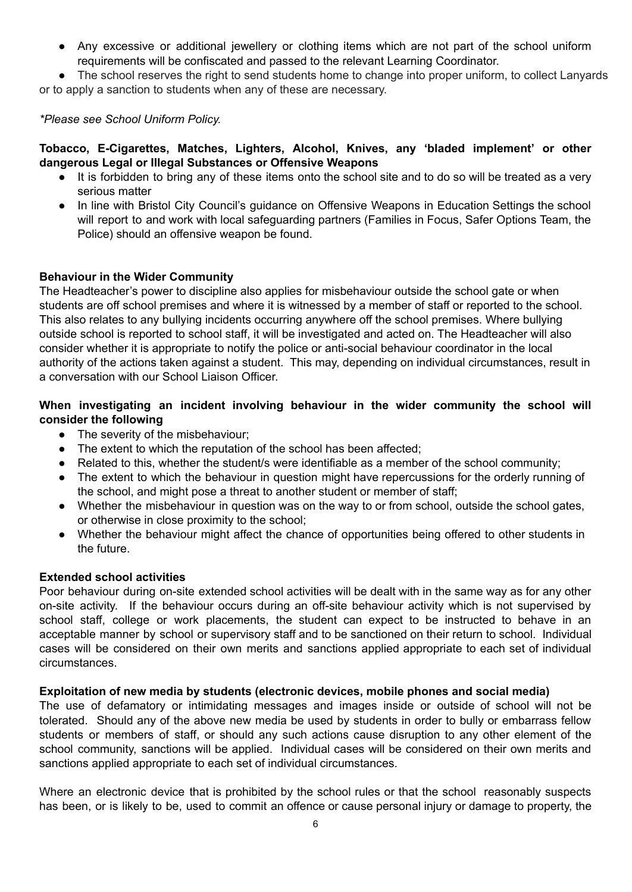• Any excessive or additional jewellery or clothing items which are not part of the school uniform requirements will be confiscated and passed to the relevant Learning Coordinator.

● The school reserves the right to send students home to change into proper uniform, to collect Lanyards or to apply a sanction to students when any of these are necessary.

#### *\*Please see School Uniform Policy.*

**Tobacco, E-Cigarettes, Matches, Lighters, Alcohol, Knives, any 'bladed implement' or other dangerous Legal or Illegal Substances or Offensive Weapons**

- It is forbidden to bring any of these items onto the school site and to do so will be treated as a very serious matter
- In line with Bristol City Council's guidance on Offensive Weapons in Education Settings the school will report to and work with local safeguarding partners (Families in Focus, Safer Options Team, the Police) should an offensive weapon be found.

#### **Behaviour in the Wider Community**

The Headteacher's power to discipline also applies for misbehaviour outside the school gate or when students are off school premises and where it is witnessed by a member of staff or reported to the school. This also relates to any bullying incidents occurring anywhere off the school premises. Where bullying outside school is reported to school staff, it will be investigated and acted on. The Headteacher will also consider whether it is appropriate to notify the police or anti-social behaviour coordinator in the local authority of the actions taken against a student. This may, depending on individual circumstances, result in a conversation with our School Liaison Officer.

#### **When investigating an incident involving behaviour in the wider community the school will consider the following**

- The severity of the misbehaviour;
- The extent to which the reputation of the school has been affected;
- Related to this, whether the student/s were identifiable as a member of the school community;
- The extent to which the behaviour in question might have repercussions for the orderly running of the school, and might pose a threat to another student or member of staff;
- Whether the misbehaviour in question was on the way to or from school, outside the school gates, or otherwise in close proximity to the school;
- Whether the behaviour might affect the chance of opportunities being offered to other students in the future.

#### **Extended school activities**

Poor behaviour during on-site extended school activities will be dealt with in the same way as for any other on-site activity. If the behaviour occurs during an off-site behaviour activity which is not supervised by school staff, college or work placements, the student can expect to be instructed to behave in an acceptable manner by school or supervisory staff and to be sanctioned on their return to school. Individual cases will be considered on their own merits and sanctions applied appropriate to each set of individual circumstances.

#### **Exploitation of new media by students (electronic devices, mobile phones and social media)**

The use of defamatory or intimidating messages and images inside or outside of school will not be tolerated. Should any of the above new media be used by students in order to bully or embarrass fellow students or members of staff, or should any such actions cause disruption to any other element of the school community, sanctions will be applied. Individual cases will be considered on their own merits and sanctions applied appropriate to each set of individual circumstances.

Where an electronic device that is prohibited by the school rules or that the school reasonably suspects has been, or is likely to be, used to commit an offence or cause personal injury or damage to property, the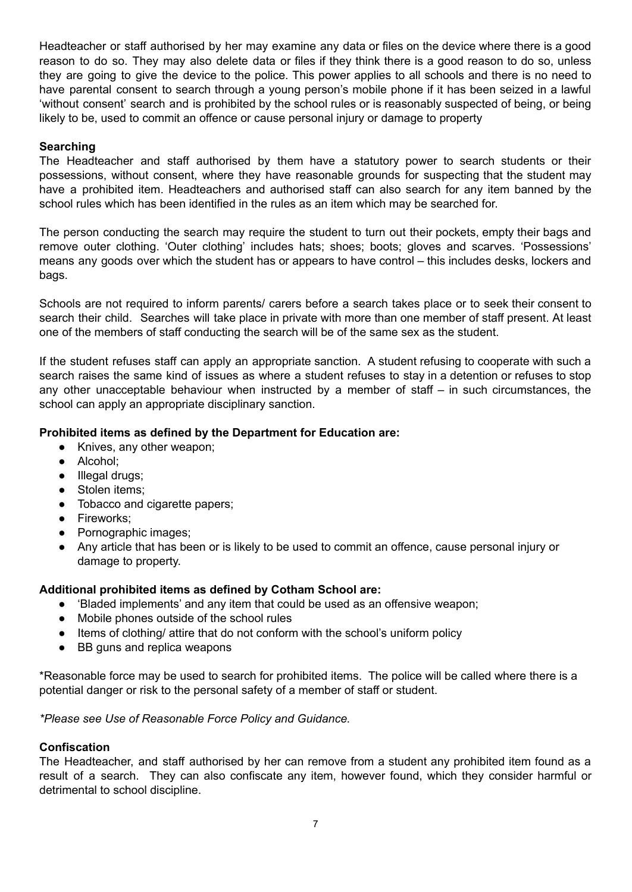Headteacher or staff authorised by her may examine any data or files on the device where there is a good reason to do so. They may also delete data or files if they think there is a good reason to do so, unless they are going to give the device to the police. This power applies to all schools and there is no need to have parental consent to search through a young person's mobile phone if it has been seized in a lawful 'without consent' search and is prohibited by the school rules or is reasonably suspected of being, or being likely to be, used to commit an offence or cause personal injury or damage to property

#### **Searching**

The Headteacher and staff authorised by them have a statutory power to search students or their possessions, without consent, where they have reasonable grounds for suspecting that the student may have a prohibited item. Headteachers and authorised staff can also search for any item banned by the school rules which has been identified in the rules as an item which may be searched for.

The person conducting the search may require the student to turn out their pockets, empty their bags and remove outer clothing. 'Outer clothing' includes hats; shoes; boots; gloves and scarves. 'Possessions' means any goods over which the student has or appears to have control – this includes desks, lockers and bags.

Schools are not required to inform parents/ carers before a search takes place or to seek their consent to search their child. Searches will take place in private with more than one member of staff present. At least one of the members of staff conducting the search will be of the same sex as the student.

If the student refuses staff can apply an appropriate sanction. A student refusing to cooperate with such a search raises the same kind of issues as where a student refuses to stay in a detention or refuses to stop any other unacceptable behaviour when instructed by a member of staff – in such circumstances, the school can apply an appropriate disciplinary sanction.

#### **Prohibited items as defined by the Department for Education are:**

- Knives, any other weapon;
- Alcohol;
- Illegal drugs;
- Stolen items:
- Tobacco and cigarette papers;
- Fireworks;
- Pornographic images;
- Any article that has been or is likely to be used to commit an offence, cause personal injury or damage to property.

#### **Additional prohibited items as defined by Cotham School are:**

- 'Bladed implements' and any item that could be used as an offensive weapon;
- Mobile phones outside of the school rules
- Items of clothing/ attire that do not conform with the school's uniform policy
- BB guns and replica weapons

\*Reasonable force may be used to search for prohibited items. The police will be called where there is a potential danger or risk to the personal safety of a member of staff or student.

*\*Please see Use of Reasonable Force Policy and Guidance.*

#### **Confiscation**

The Headteacher, and staff authorised by her can remove from a student any prohibited item found as a result of a search. They can also confiscate any item, however found, which they consider harmful or detrimental to school discipline.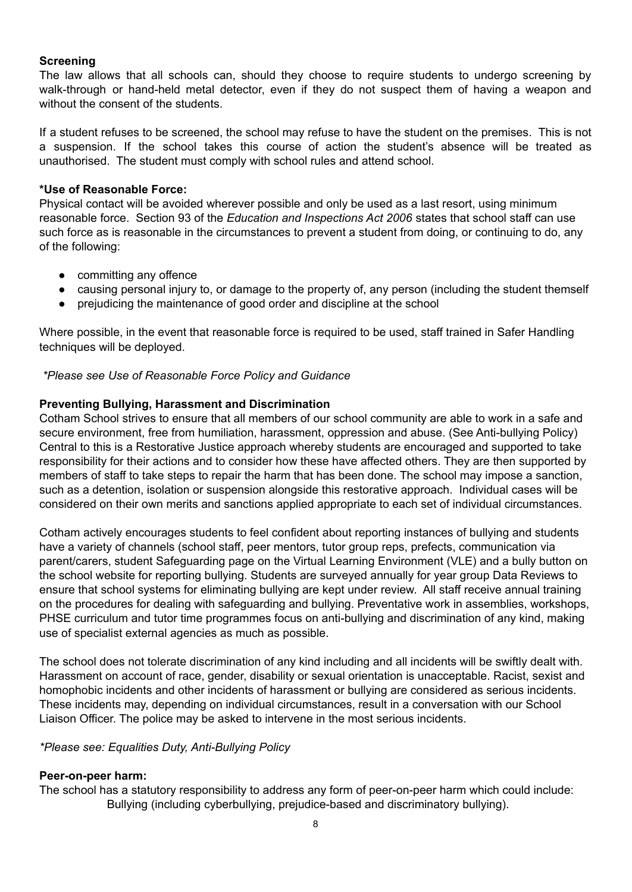#### **Screening**

The law allows that all schools can, should they choose to require students to undergo screening by walk-through or hand-held metal detector, even if they do not suspect them of having a weapon and without the consent of the students.

If a student refuses to be screened, the school may refuse to have the student on the premises. This is not a suspension. If the school takes this course of action the student's absence will be treated as unauthorised. The student must comply with school rules and attend school.

#### **\*Use of Reasonable Force:**

Physical contact will be avoided wherever possible and only be used as a last resort, using minimum reasonable force. Section 93 of the *Education and Inspections Act 2006* states that school staff can use such force as is reasonable in the circumstances to prevent a student from doing, or continuing to do, any of the following:

- committing any offence
- causing personal injury to, or damage to the property of, any person (including the student themself
- prejudicing the maintenance of good order and discipline at the school

Where possible, in the event that reasonable force is required to be used, staff trained in Safer Handling techniques will be deployed.

*\*Please see Use of Reasonable Force Policy and Guidance*

#### **Preventing Bullying, Harassment and Discrimination**

Cotham School strives to ensure that all members of our school community are able to work in a safe and secure environment, free from humiliation, harassment, oppression and abuse. (See Anti-bullying Policy) Central to this is a Restorative Justice approach whereby students are encouraged and supported to take responsibility for their actions and to consider how these have affected others. They are then supported by members of staff to take steps to repair the harm that has been done. The school may impose a sanction, such as a detention, isolation or suspension alongside this restorative approach. Individual cases will be considered on their own merits and sanctions applied appropriate to each set of individual circumstances.

Cotham actively encourages students to feel confident about reporting instances of bullying and students have a variety of channels (school staff, peer mentors, tutor group reps, prefects, communication via parent/carers, student Safeguarding page on the Virtual Learning Environment (VLE) and a bully button on the school website for reporting bullying. Students are surveyed annually for year group Data Reviews to ensure that school systems for eliminating bullying are kept under review. All staff receive annual training on the procedures for dealing with safeguarding and bullying. Preventative work in assemblies, workshops, PHSE curriculum and tutor time programmes focus on anti-bullying and discrimination of any kind, making use of specialist external agencies as much as possible.

The school does not tolerate discrimination of any kind including and all incidents will be swiftly dealt with. Harassment on account of race, gender, disability or sexual orientation is unacceptable. Racist, sexist and homophobic incidents and other incidents of harassment or bullying are considered as serious incidents. These incidents may, depending on individual circumstances, result in a conversation with our School Liaison Officer. The police may be asked to intervene in the most serious incidents.

#### *\*Please see: Equalities Duty, Anti-Bullying Policy*

#### **Peer-on-peer harm:**

The school has a statutory responsibility to address any form of peer-on-peer harm which could include: Bullying (including cyberbullying, prejudice-based and discriminatory bullying).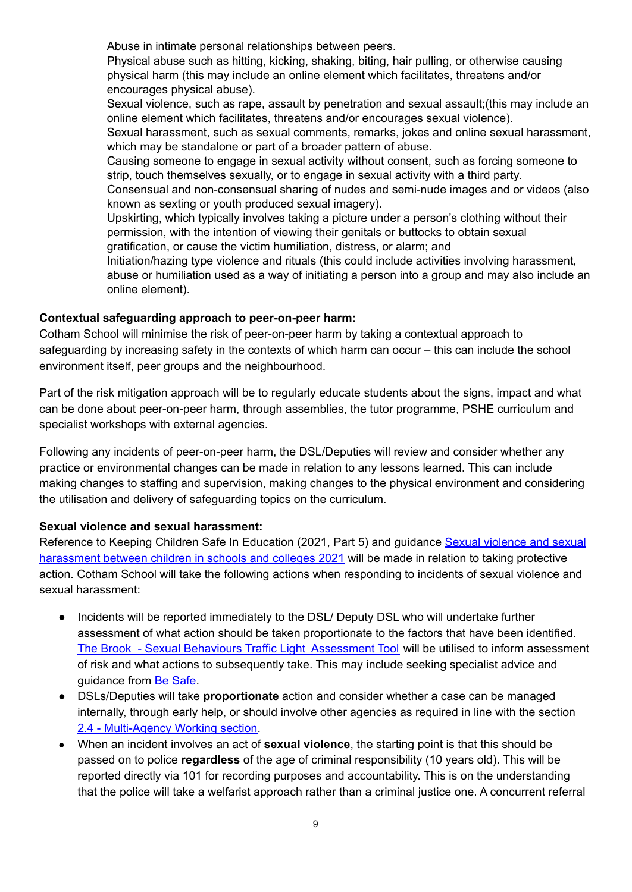Abuse in intimate personal relationships between peers.

Physical abuse such as hitting, kicking, shaking, biting, hair pulling, or otherwise causing physical harm (this may include an online element which facilitates, threatens and/or encourages physical abuse).

Sexual violence, such as rape, assault by penetration and sexual assault;(this may include an online element which facilitates, threatens and/or encourages sexual violence).

Sexual harassment, such as sexual comments, remarks, jokes and online sexual harassment, which may be standalone or part of a broader pattern of abuse.

Causing someone to engage in sexual activity without consent, such as forcing someone to strip, touch themselves sexually, or to engage in sexual activity with a third party.

Consensual and non-consensual sharing of nudes and semi-nude images and or videos (also known as sexting or youth produced sexual imagery).

Upskirting, which typically involves taking a picture under a person's clothing without their permission, with the intention of viewing their genitals or buttocks to obtain sexual gratification, or cause the victim humiliation, distress, or alarm; and

Initiation/hazing type violence and rituals (this could include activities involving harassment, abuse or humiliation used as a way of initiating a person into a group and may also include an online element).

#### **Contextual safeguarding approach to peer-on-peer harm:**

Cotham School will minimise the risk of peer-on-peer harm by taking a contextual approach to safeguarding by increasing safety in the contexts of which harm can occur – this can include the school environment itself, peer groups and the neighbourhood.

Part of the risk mitigation approach will be to regularly educate students about the signs, impact and what can be done about peer-on-peer harm, through assemblies, the tutor programme, PSHE curriculum and specialist workshops with external agencies.

Following any incidents of peer-on-peer harm, the DSL/Deputies will review and consider whether any practice or environmental changes can be made in relation to any lessons learned. This can include making changes to staffing and supervision, making changes to the physical environment and considering the utilisation and delivery of safeguarding topics on the curriculum.

#### **Sexual violence and sexual harassment:**

Reference to Keeping Children Safe In Education (2021, Part 5) and guidance Sexual [violence](https://www.gov.uk/government/publications/sexual-violence-and-sexual-harassment-between-children-in-schools-and-colleges) and sexual [harassment](https://www.gov.uk/government/publications/sexual-violence-and-sexual-harassment-between-children-in-schools-and-colleges) between children in schools and colleges 2021 will be made in relation to taking protective action. Cotham School will take the following actions when responding to incidents of sexual violence and sexual harassment:

- Incidents will be reported immediately to the DSL/ Deputy DSL who will undertake further assessment of what action should be taken proportionate to the factors that have been identified. The Brook - Sexual Behaviours Traffic Light [Assessment](https://www.brook.org.uk/training/wider-professional-training/sexual-behaviours-traffic-light-tool/) Tool will be utilised to inform assessment of risk and what actions to subsequently take. This may include seeking specialist advice and quidance from Be [Safe.](https://cchp.nhs.uk/cchp/explore-cchp/be-safe)
- DSLs/Deputies will take **proportionate** action and consider whether a case can be managed internally, through early help, or should involve other agencies as required in line with the section 2.4 - [Multi-Agency](https://docs.google.com/document/d/1nK4lNk0iMZqDvE15Np5u3Fk_jQOhReTv/edit#heading=h.35nkun2) Working section.
- When an incident involves an act of **sexual violence**, the starting point is that this should be passed on to police **regardless** of the age of criminal responsibility (10 years old). This will be reported directly via 101 for recording purposes and accountability. This is on the understanding that the police will take a welfarist approach rather than a criminal justice one. A concurrent referral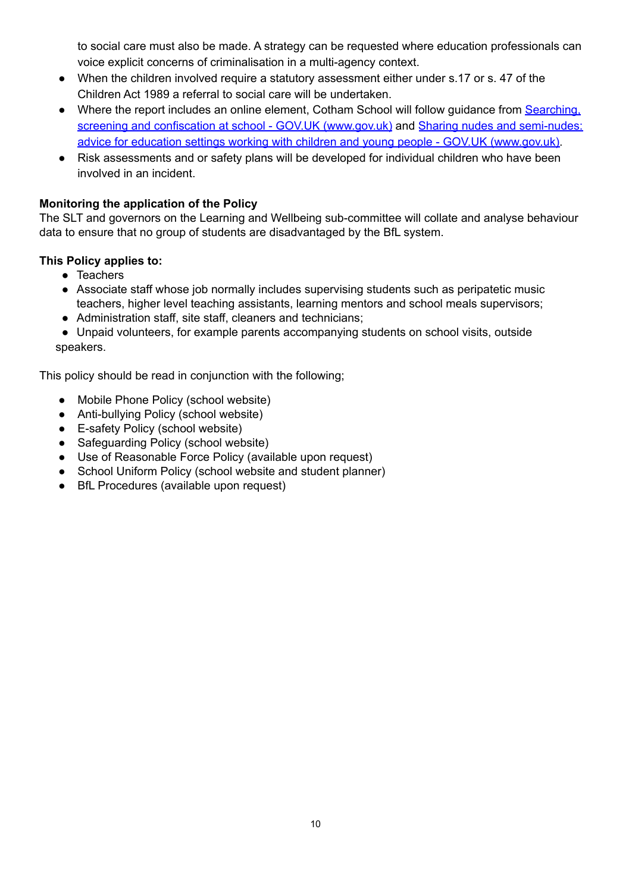to social care must also be made. A strategy can be requested where education professionals can voice explicit concerns of criminalisation in a multi-agency context.

- When the children involved require a statutory assessment either under s.17 or s. 47 of the Children Act 1989 a referral to social care will be undertaken.
- Where the report includes an online element, Cotham School will follow guidance from [Searching,](https://www.gov.uk/government/publications/searching-screening-and-confiscation) screening and confiscation at school - GOV.UK [\(www.gov.uk\)](https://www.gov.uk/government/publications/searching-screening-and-confiscation) and Sharing nudes and [semi-nudes:](https://www.gov.uk/government/publications/sharing-nudes-and-semi-nudes-advice-for-education-settings-working-with-children-and-young-people) advice for education settings working with children and young people - GOV.UK [\(www.gov.uk\).](https://www.gov.uk/government/publications/sharing-nudes-and-semi-nudes-advice-for-education-settings-working-with-children-and-young-people)
- Risk assessments and or safety plans will be developed for individual children who have been involved in an incident.

#### **Monitoring the application of the Policy**

The SLT and governors on the Learning and Wellbeing sub-committee will collate and analyse behaviour data to ensure that no group of students are disadvantaged by the BfL system.

#### **This Policy applies to:**

- Teachers
- Associate staff whose job normally includes supervising students such as peripatetic music teachers, higher level teaching assistants, learning mentors and school meals supervisors;
- Administration staff, site staff, cleaners and technicians;

● Unpaid volunteers, for example parents accompanying students on school visits, outside speakers.

This policy should be read in conjunction with the following;

- Mobile Phone Policy (school website)
- Anti-bullying Policy (school website)
- E-safety Policy (school website)
- Safeguarding Policy (school website)
- Use of Reasonable Force Policy (available upon request)
- School Uniform Policy (school website and student planner)
- BfL Procedures (available upon request)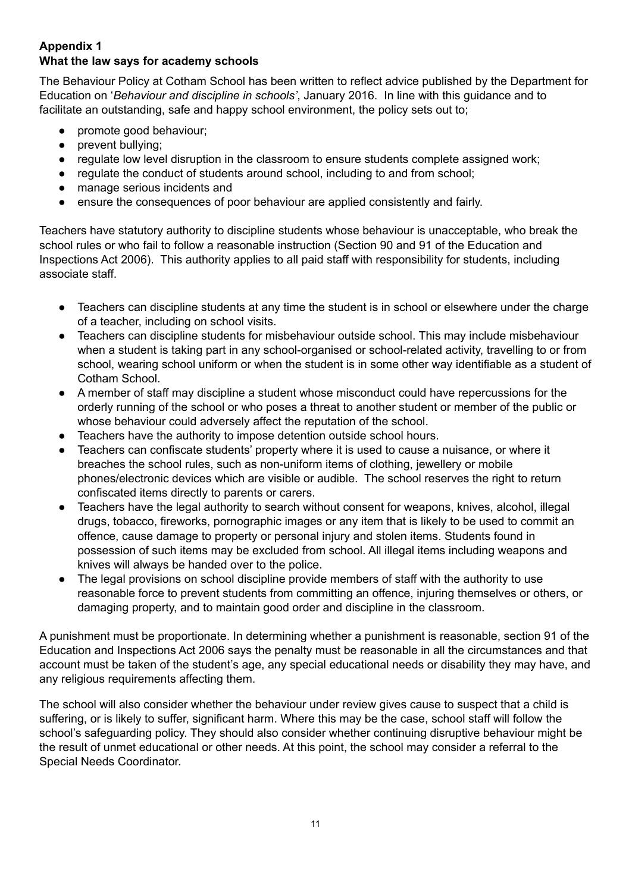#### **Appendix 1 What the law says for academy schools**

The Behaviour Policy at Cotham School has been written to reflect advice published by the Department for Education on '*Behaviour and discipline in schools'*, January 2016. In line with this guidance and to facilitate an outstanding, safe and happy school environment, the policy sets out to;

- promote good behaviour;
- prevent bullying;
- regulate low level disruption in the classroom to ensure students complete assigned work;
- regulate the conduct of students around school, including to and from school;
- manage serious incidents and
- ensure the consequences of poor behaviour are applied consistently and fairly.

Teachers have statutory authority to discipline students whose behaviour is unacceptable, who break the school rules or who fail to follow a reasonable instruction (Section 90 and 91 of the Education and Inspections Act 2006). This authority applies to all paid staff with responsibility for students, including associate staff.

- Teachers can discipline students at any time the student is in school or elsewhere under the charge of a teacher, including on school visits.
- Teachers can discipline students for misbehaviour outside school. This may include misbehaviour when a student is taking part in any school-organised or school-related activity, travelling to or from school, wearing school uniform or when the student is in some other way identifiable as a student of Cotham School.
- A member of staff may discipline a student whose misconduct could have repercussions for the orderly running of the school or who poses a threat to another student or member of the public or whose behaviour could adversely affect the reputation of the school.
- Teachers have the authority to impose detention outside school hours.
- Teachers can confiscate students' property where it is used to cause a nuisance, or where it breaches the school rules, such as non-uniform items of clothing, jewellery or mobile phones/electronic devices which are visible or audible. The school reserves the right to return confiscated items directly to parents or carers.
- Teachers have the legal authority to search without consent for weapons, knives, alcohol, illegal drugs, tobacco, fireworks, pornographic images or any item that is likely to be used to commit an offence, cause damage to property or personal injury and stolen items. Students found in possession of such items may be excluded from school. All illegal items including weapons and knives will always be handed over to the police.
- The legal provisions on school discipline provide members of staff with the authority to use reasonable force to prevent students from committing an offence, injuring themselves or others, or damaging property, and to maintain good order and discipline in the classroom.

A punishment must be proportionate. In determining whether a punishment is reasonable, section 91 of the Education and Inspections Act 2006 says the penalty must be reasonable in all the circumstances and that account must be taken of the student's age, any special educational needs or disability they may have, and any religious requirements affecting them.

The school will also consider whether the behaviour under review gives cause to suspect that a child is suffering, or is likely to suffer, significant harm. Where this may be the case, school staff will follow the school's safeguarding policy. They should also consider whether continuing disruptive behaviour might be the result of unmet educational or other needs. At this point, the school may consider a referral to the Special Needs Coordinator.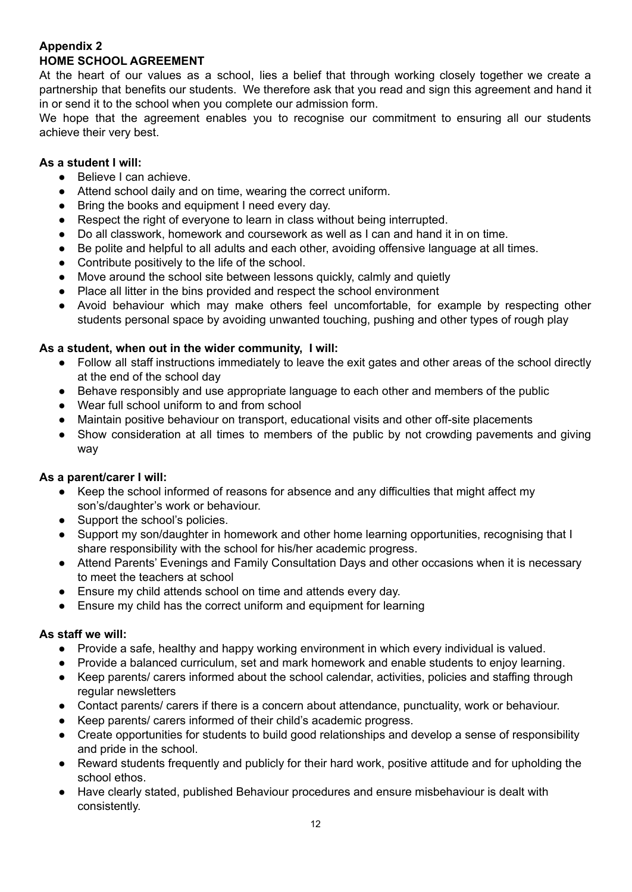#### **Appendix 2 HOME SCHOOL AGREEMENT**

At the heart of our values as a school, lies a belief that through working closely together we create a partnership that benefits our students. We therefore ask that you read and sign this agreement and hand it in or send it to the school when you complete our admission form.

We hope that the agreement enables you to recognise our commitment to ensuring all our students achieve their very best.

#### **As a student I will:**

- Believe I can achieve.
- Attend school daily and on time, wearing the correct uniform.
- Bring the books and equipment I need every day.
- Respect the right of everyone to learn in class without being interrupted.
- Do all classwork, homework and coursework as well as I can and hand it in on time.
- Be polite and helpful to all adults and each other, avoiding offensive language at all times.
- Contribute positively to the life of the school.
- Move around the school site between lessons quickly, calmly and quietly
- Place all litter in the bins provided and respect the school environment
- Avoid behaviour which may make others feel uncomfortable, for example by respecting other students personal space by avoiding unwanted touching, pushing and other types of rough play

#### **As a student, when out in the wider community, I will:**

- Follow all staff instructions immediately to leave the exit gates and other areas of the school directly at the end of the school day
- Behave responsibly and use appropriate language to each other and members of the public
- Wear full school uniform to and from school
- Maintain positive behaviour on transport, educational visits and other off-site placements
- Show consideration at all times to members of the public by not crowding pavements and giving way

#### **As a parent/carer I will:**

- Keep the school informed of reasons for absence and any difficulties that might affect my son's/daughter's work or behaviour.
- Support the school's policies.
- Support my son/daughter in homework and other home learning opportunities, recognising that I share responsibility with the school for his/her academic progress.
- Attend Parents' Evenings and Family Consultation Days and other occasions when it is necessary to meet the teachers at school
- Ensure my child attends school on time and attends every day.
- Ensure my child has the correct uniform and equipment for learning

#### **As staff we will:**

- Provide a safe, healthy and happy working environment in which every individual is valued.
- Provide a balanced curriculum, set and mark homework and enable students to enjoy learning.
- Keep parents/ carers informed about the school calendar, activities, policies and staffing through regular newsletters
- Contact parents/ carers if there is a concern about attendance, punctuality, work or behaviour.
- Keep parents/ carers informed of their child's academic progress.
- Create opportunities for students to build good relationships and develop a sense of responsibility and pride in the school.
- Reward students frequently and publicly for their hard work, positive attitude and for upholding the school ethos.
- Have clearly stated, published Behaviour procedures and ensure misbehaviour is dealt with consistently.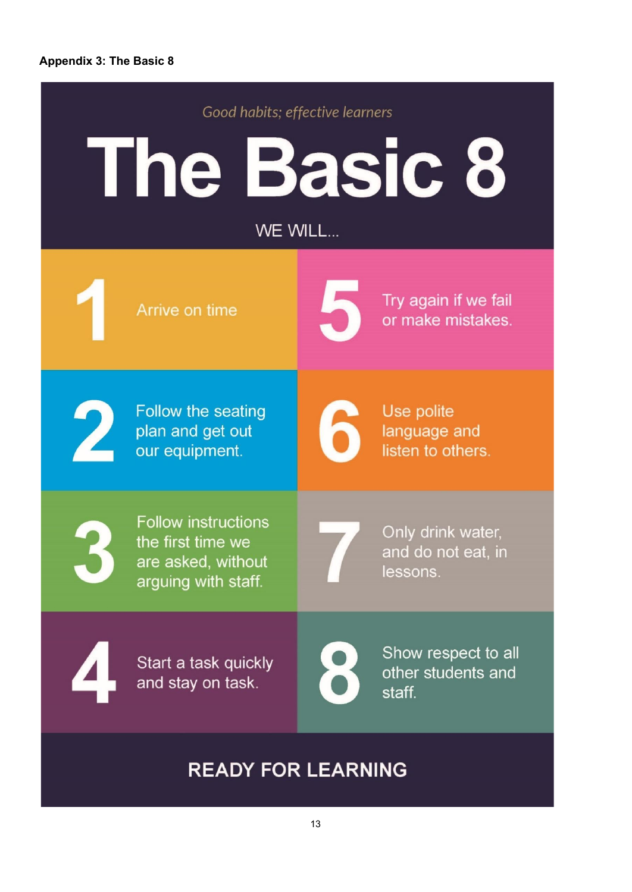#### **Appendix 3: The Basic 8**



### **READY FOR LEARNING**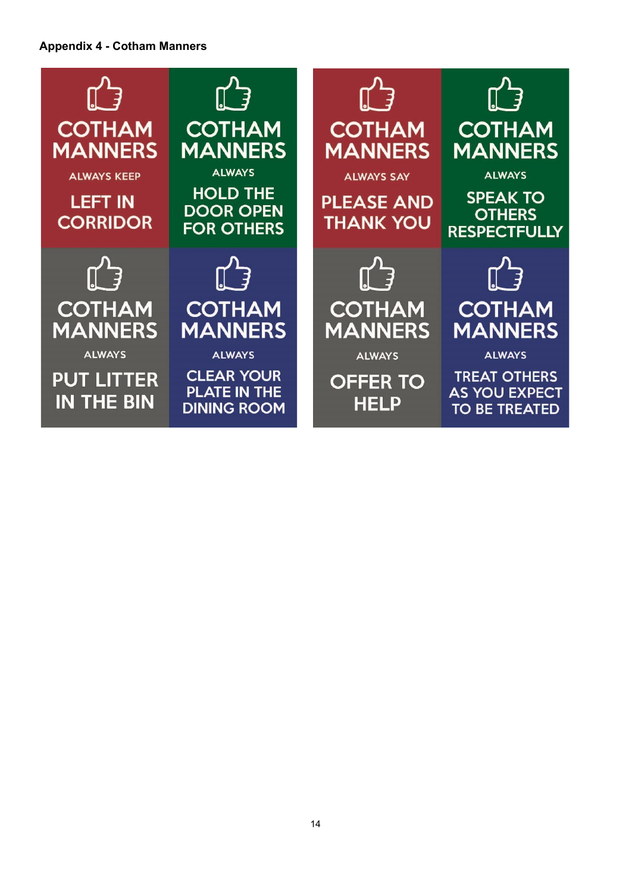#### **Appendix 4 - Cotham Manners**

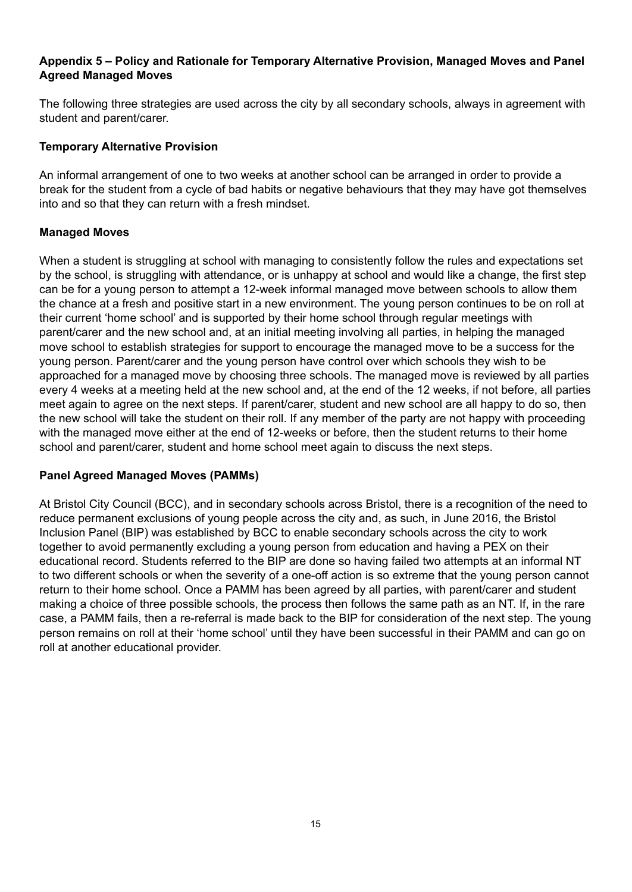#### **Appendix 5 – Policy and Rationale for Temporary Alternative Provision, Managed Moves and Panel Agreed Managed Moves**

The following three strategies are used across the city by all secondary schools, always in agreement with student and parent/carer.

#### **Temporary Alternative Provision**

An informal arrangement of one to two weeks at another school can be arranged in order to provide a break for the student from a cycle of bad habits or negative behaviours that they may have got themselves into and so that they can return with a fresh mindset.

#### **Managed Moves**

When a student is struggling at school with managing to consistently follow the rules and expectations set by the school, is struggling with attendance, or is unhappy at school and would like a change, the first step can be for a young person to attempt a 12-week informal managed move between schools to allow them the chance at a fresh and positive start in a new environment. The young person continues to be on roll at their current 'home school' and is supported by their home school through regular meetings with parent/carer and the new school and, at an initial meeting involving all parties, in helping the managed move school to establish strategies for support to encourage the managed move to be a success for the young person. Parent/carer and the young person have control over which schools they wish to be approached for a managed move by choosing three schools. The managed move is reviewed by all parties every 4 weeks at a meeting held at the new school and, at the end of the 12 weeks, if not before, all parties meet again to agree on the next steps. If parent/carer, student and new school are all happy to do so, then the new school will take the student on their roll. If any member of the party are not happy with proceeding with the managed move either at the end of 12-weeks or before, then the student returns to their home school and parent/carer, student and home school meet again to discuss the next steps.

#### **Panel Agreed Managed Moves (PAMMs)**

At Bristol City Council (BCC), and in secondary schools across Bristol, there is a recognition of the need to reduce permanent exclusions of young people across the city and, as such, in June 2016, the Bristol Inclusion Panel (BIP) was established by BCC to enable secondary schools across the city to work together to avoid permanently excluding a young person from education and having a PEX on their educational record. Students referred to the BIP are done so having failed two attempts at an informal NT to two different schools or when the severity of a one-off action is so extreme that the young person cannot return to their home school. Once a PAMM has been agreed by all parties, with parent/carer and student making a choice of three possible schools, the process then follows the same path as an NT. If, in the rare case, a PAMM fails, then a re-referral is made back to the BIP for consideration of the next step. The young person remains on roll at their 'home school' until they have been successful in their PAMM and can go on roll at another educational provider.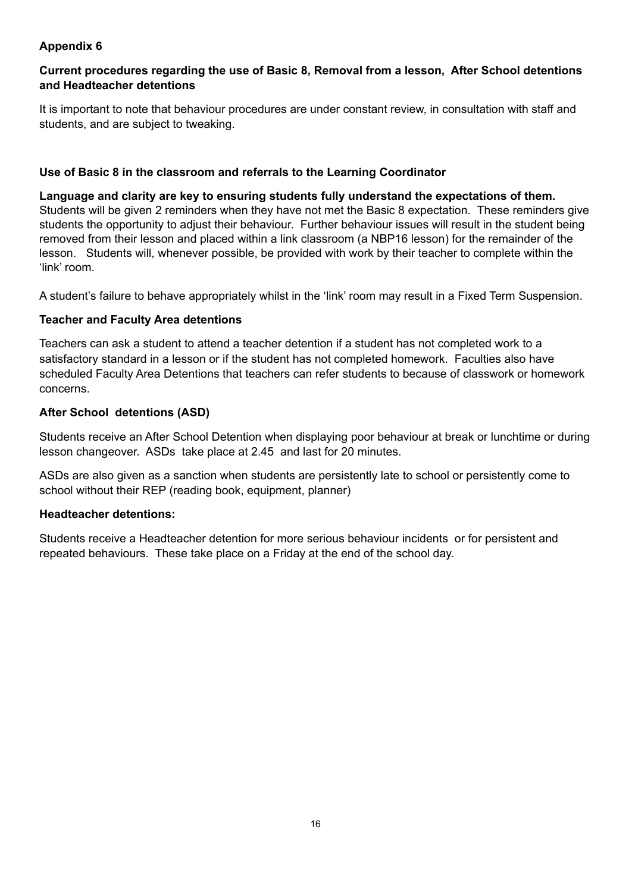#### **Current procedures regarding the use of Basic 8, Removal from a lesson, After School detentions and Headteacher detentions**

It is important to note that behaviour procedures are under constant review, in consultation with staff and students, and are subject to tweaking.

#### **Use of Basic 8 in the classroom and referrals to the Learning Coordinator**

**Language and clarity are key to ensuring students fully understand the expectations of them.** Students will be given 2 reminders when they have not met the Basic 8 expectation. These reminders give students the opportunity to adjust their behaviour. Further behaviour issues will result in the student being removed from their lesson and placed within a link classroom (a NBP16 lesson) for the remainder of the lesson. Students will, whenever possible, be provided with work by their teacher to complete within the 'link' room.

A student's failure to behave appropriately whilst in the 'link' room may result in a Fixed Term Suspension.

#### **Teacher and Faculty Area detentions**

Teachers can ask a student to attend a teacher detention if a student has not completed work to a satisfactory standard in a lesson or if the student has not completed homework. Faculties also have scheduled Faculty Area Detentions that teachers can refer students to because of classwork or homework concerns.

#### **After School detentions (ASD)**

Students receive an After School Detention when displaying poor behaviour at break or lunchtime or during lesson changeover. ASDs take place at 2.45 and last for 20 minutes.

ASDs are also given as a sanction when students are persistently late to school or persistently come to school without their REP (reading book, equipment, planner)

#### **Headteacher detentions:**

Students receive a Headteacher detention for more serious behaviour incidents or for persistent and repeated behaviours. These take place on a Friday at the end of the school day.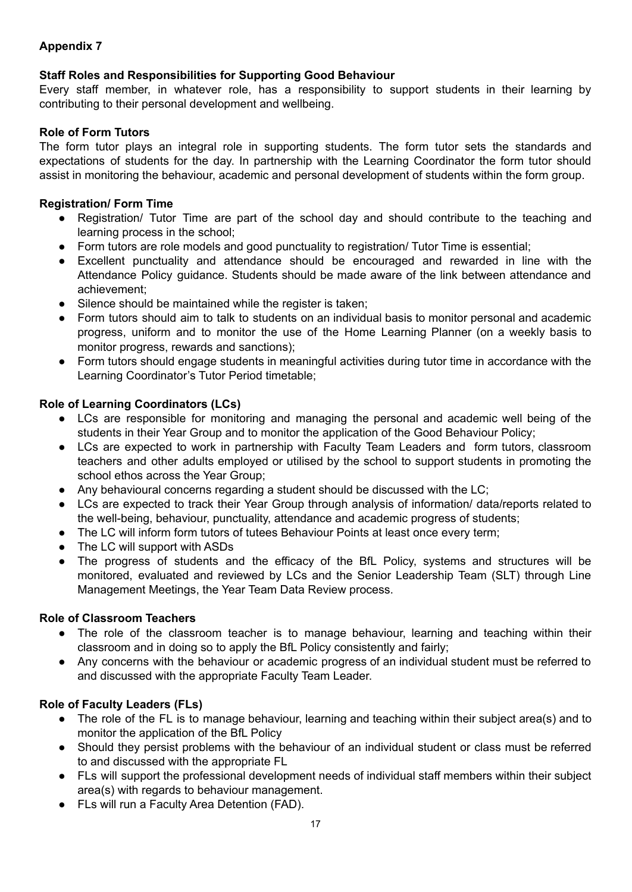#### **Staff Roles and Responsibilities for Supporting Good Behaviour**

Every staff member, in whatever role, has a responsibility to support students in their learning by contributing to their personal development and wellbeing.

#### **Role of Form Tutors**

The form tutor plays an integral role in supporting students. The form tutor sets the standards and expectations of students for the day. In partnership with the Learning Coordinator the form tutor should assist in monitoring the behaviour, academic and personal development of students within the form group.

#### **Registration/ Form Time**

- Registration/ Tutor Time are part of the school day and should contribute to the teaching and learning process in the school;
- Form tutors are role models and good punctuality to registration/ Tutor Time is essential;
- Excellent punctuality and attendance should be encouraged and rewarded in line with the Attendance Policy guidance. Students should be made aware of the link between attendance and achievement;
- Silence should be maintained while the register is taken;
- Form tutors should aim to talk to students on an individual basis to monitor personal and academic progress, uniform and to monitor the use of the Home Learning Planner (on a weekly basis to monitor progress, rewards and sanctions);
- Form tutors should engage students in meaningful activities during tutor time in accordance with the Learning Coordinator's Tutor Period timetable;

#### **Role of Learning Coordinators (LCs)**

- LCs are responsible for monitoring and managing the personal and academic well being of the students in their Year Group and to monitor the application of the Good Behaviour Policy;
- LCs are expected to work in partnership with Faculty Team Leaders and form tutors, classroom teachers and other adults employed or utilised by the school to support students in promoting the school ethos across the Year Group;
- Any behavioural concerns regarding a student should be discussed with the LC;
- LCs are expected to track their Year Group through analysis of information/ data/reports related to the well-being, behaviour, punctuality, attendance and academic progress of students;
- The LC will inform form tutors of tutees Behaviour Points at least once every term;
- The LC will support with ASDs
- The progress of students and the efficacy of the BfL Policy, systems and structures will be monitored, evaluated and reviewed by LCs and the Senior Leadership Team (SLT) through Line Management Meetings, the Year Team Data Review process.

#### **Role of Classroom Teachers**

- The role of the classroom teacher is to manage behaviour, learning and teaching within their classroom and in doing so to apply the BfL Policy consistently and fairly;
- Any concerns with the behaviour or academic progress of an individual student must be referred to and discussed with the appropriate Faculty Team Leader.

#### **Role of Faculty Leaders (FLs)**

- The role of the FL is to manage behaviour, learning and teaching within their subject area(s) and to monitor the application of the BfL Policy
- Should they persist problems with the behaviour of an individual student or class must be referred to and discussed with the appropriate FL
- FLs will support the professional development needs of individual staff members within their subject area(s) with regards to behaviour management.
- FLs will run a Faculty Area Detention (FAD).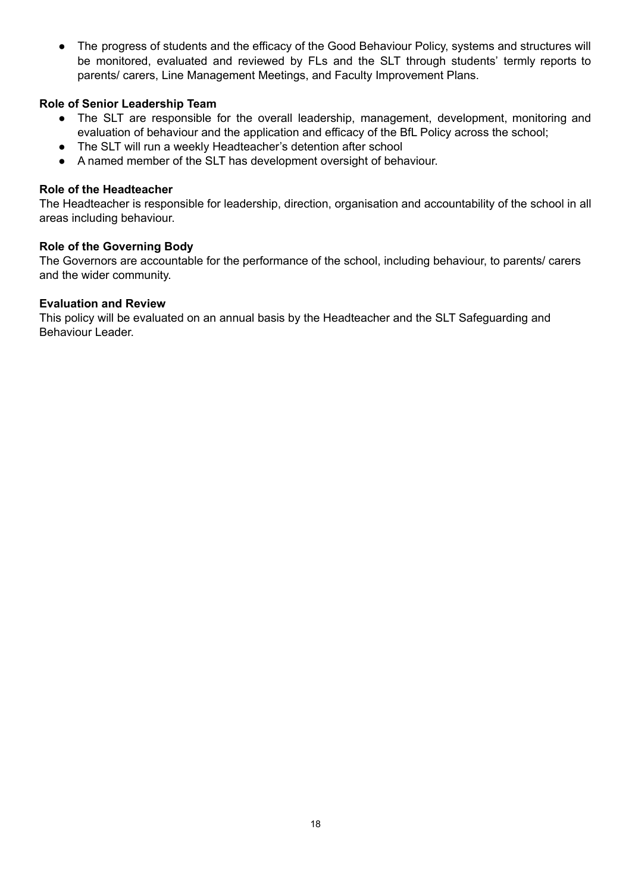• The progress of students and the efficacy of the Good Behaviour Policy, systems and structures will be monitored, evaluated and reviewed by FLs and the SLT through students' termly reports to parents/ carers, Line Management Meetings, and Faculty Improvement Plans.

#### **Role of Senior Leadership Team**

- The SLT are responsible for the overall leadership, management, development, monitoring and evaluation of behaviour and the application and efficacy of the BfL Policy across the school;
- The SLT will run a weekly Headteacher's detention after school
- A named member of the SLT has development oversight of behaviour.

#### **Role of the Headteacher**

The Headteacher is responsible for leadership, direction, organisation and accountability of the school in all areas including behaviour.

#### **Role of the Governing Body**

The Governors are accountable for the performance of the school, including behaviour, to parents/ carers and the wider community.

#### **Evaluation and Review**

This policy will be evaluated on an annual basis by the Headteacher and the SLT Safeguarding and Behaviour Leader.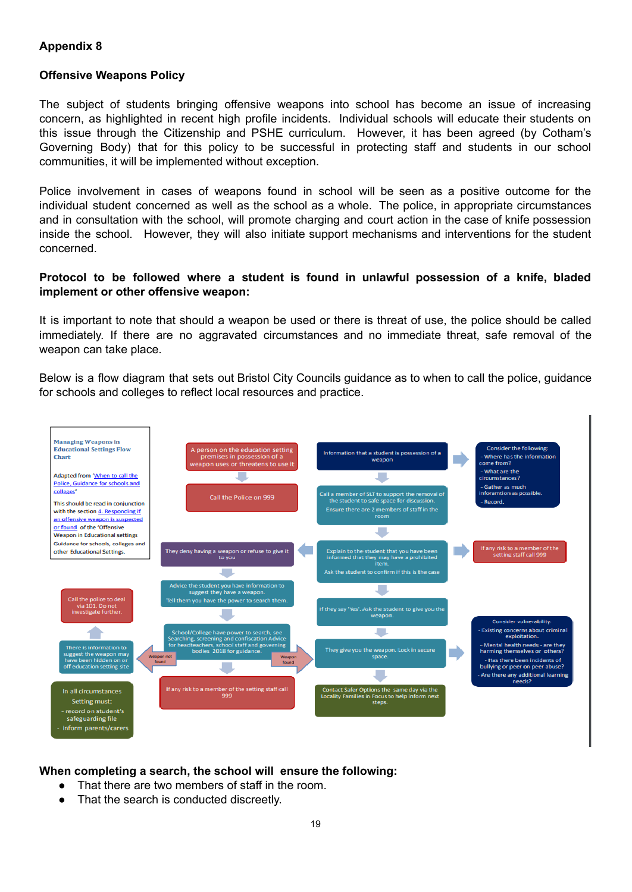#### **Offensive Weapons Policy**

The subject of students bringing offensive weapons into school has become an issue of increasing concern, as highlighted in recent high profile incidents. Individual schools will educate their students on this issue through the Citizenship and PSHE curriculum. However, it has been agreed (by Cotham's Governing Body) that for this policy to be successful in protecting staff and students in our school communities, it will be implemented without exception.

Police involvement in cases of weapons found in school will be seen as a positive outcome for the individual student concerned as well as the school as a whole. The police, in appropriate circumstances and in consultation with the school, will promote charging and court action in the case of knife possession inside the school. However, they will also initiate support mechanisms and interventions for the student concerned.

#### **Protocol to be followed where a student is found in unlawful possession of a knife, bladed implement or other offensive weapon:**

It is important to note that should a weapon be used or there is threat of use, the police should be called immediately. If there are no aggravated circumstances and no immediate threat, safe removal of the weapon can take place.

Below is a flow diagram that sets out Bristol City Councils guidance as to when to call the police, guidance for schools and colleges to reflect local resources and practice.



#### **When completing a search, the school will ensure the following:**

- That there are two members of staff in the room.
- That the search is conducted discreetly.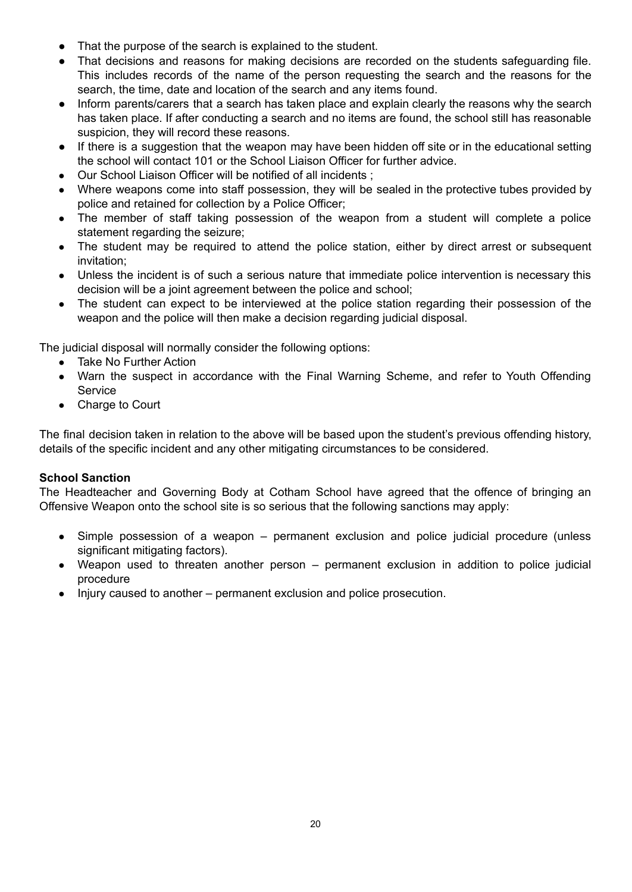- That the purpose of the search is explained to the student.
- That decisions and reasons for making decisions are recorded on the students safeguarding file. This includes records of the name of the person requesting the search and the reasons for the search, the time, date and location of the search and any items found.
- Inform parents/carers that a search has taken place and explain clearly the reasons why the search has taken place. If after conducting a search and no items are found, the school still has reasonable suspicion, they will record these reasons.
- If there is a suggestion that the weapon may have been hidden off site or in the educational setting the school will contact 101 or the School Liaison Officer for further advice.
- Our School Liaison Officer will be notified of all incidents ;
- Where weapons come into staff possession, they will be sealed in the protective tubes provided by police and retained for collection by a Police Officer;
- The member of staff taking possession of the weapon from a student will complete a police statement regarding the seizure;
- The student may be required to attend the police station, either by direct arrest or subsequent invitation;
- Unless the incident is of such a serious nature that immediate police intervention is necessary this decision will be a joint agreement between the police and school;
- The student can expect to be interviewed at the police station regarding their possession of the weapon and the police will then make a decision regarding judicial disposal.

The judicial disposal will normally consider the following options:

- Take No Further Action
- Warn the suspect in accordance with the Final Warning Scheme, and refer to Youth Offending Service
- Charge to Court

The final decision taken in relation to the above will be based upon the student's previous offending history, details of the specific incident and any other mitigating circumstances to be considered.

#### **School Sanction**

The Headteacher and Governing Body at Cotham School have agreed that the offence of bringing an Offensive Weapon onto the school site is so serious that the following sanctions may apply:

- Simple possession of a weapon permanent exclusion and police judicial procedure (unless significant mitigating factors).
- Weapon used to threaten another person permanent exclusion in addition to police judicial procedure
- Injury caused to another permanent exclusion and police prosecution.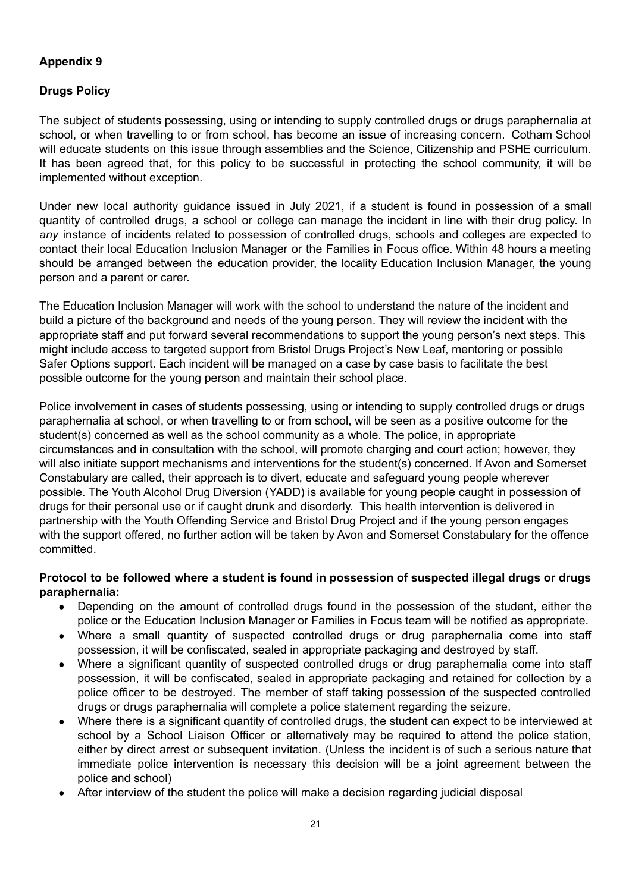#### **Drugs Policy**

The subject of students possessing, using or intending to supply controlled drugs or drugs paraphernalia at school, or when travelling to or from school, has become an issue of increasing concern. Cotham School will educate students on this issue through assemblies and the Science, Citizenship and PSHE curriculum. It has been agreed that, for this policy to be successful in protecting the school community, it will be implemented without exception.

Under new local authority guidance issued in July 2021, if a student is found in possession of a small quantity of controlled drugs, a school or college can manage the incident in line with their drug policy. In *any* instance of incidents related to possession of controlled drugs, schools and colleges are expected to contact their local Education Inclusion Manager or the Families in Focus office. Within 48 hours a meeting should be arranged between the education provider, the locality Education Inclusion Manager, the young person and a parent or carer.

The Education Inclusion Manager will work with the school to understand the nature of the incident and build a picture of the background and needs of the young person. They will review the incident with the appropriate staff and put forward several recommendations to support the young person's next steps. This might include access to targeted support from Bristol Drugs Project's New Leaf, mentoring or possible Safer Options support. Each incident will be managed on a case by case basis to facilitate the best possible outcome for the young person and maintain their school place.

Police involvement in cases of students possessing, using or intending to supply controlled drugs or drugs paraphernalia at school, or when travelling to or from school, will be seen as a positive outcome for the student(s) concerned as well as the school community as a whole. The police, in appropriate circumstances and in consultation with the school, will promote charging and court action; however, they will also initiate support mechanisms and interventions for the student(s) concerned. If Avon and Somerset Constabulary are called, their approach is to divert, educate and safeguard young people wherever possible. The Youth Alcohol Drug Diversion (YADD) is available for young people caught in possession of drugs for their personal use or if caught drunk and disorderly. This health intervention is delivered in partnership with the Youth Offending Service and Bristol Drug Project and if the young person engages with the support offered, no further action will be taken by Avon and Somerset Constabulary for the offence committed.

#### **Protocol to be followed where a student is found in possession of suspected illegal drugs or drugs paraphernalia:**

- Depending on the amount of controlled drugs found in the possession of the student, either the police or the Education Inclusion Manager or Families in Focus team will be notified as appropriate.
- Where a small quantity of suspected controlled drugs or drug paraphernalia come into staff possession, it will be confiscated, sealed in appropriate packaging and destroyed by staff.
- Where a significant quantity of suspected controlled drugs or drug paraphernalia come into staff possession, it will be confiscated, sealed in appropriate packaging and retained for collection by a police officer to be destroyed. The member of staff taking possession of the suspected controlled drugs or drugs paraphernalia will complete a police statement regarding the seizure.
- Where there is a significant quantity of controlled drugs, the student can expect to be interviewed at school by a School Liaison Officer or alternatively may be required to attend the police station, either by direct arrest or subsequent invitation. (Unless the incident is of such a serious nature that immediate police intervention is necessary this decision will be a joint agreement between the police and school)
- After interview of the student the police will make a decision regarding judicial disposal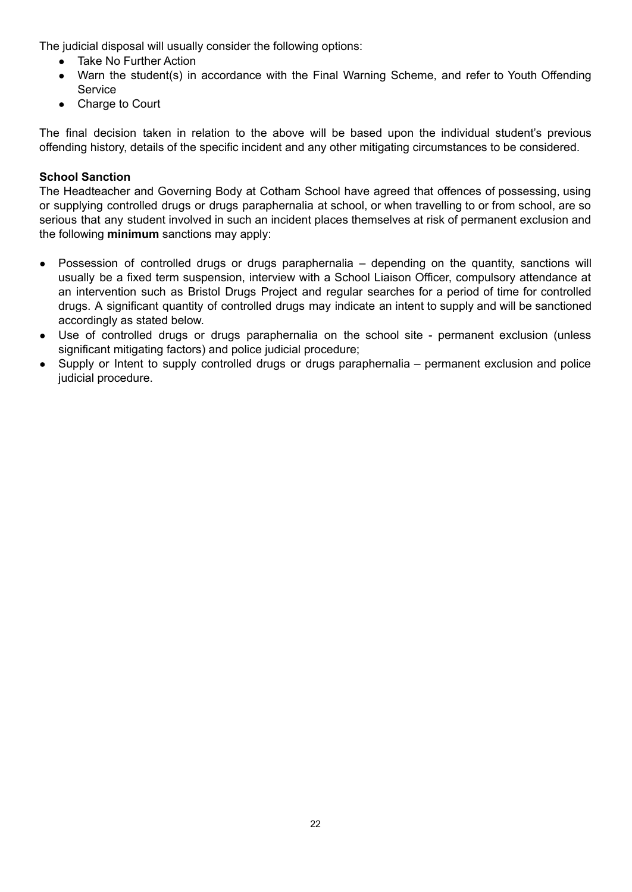The judicial disposal will usually consider the following options:

- Take No Further Action
- Warn the student(s) in accordance with the Final Warning Scheme, and refer to Youth Offending Service
- Charge to Court

The final decision taken in relation to the above will be based upon the individual student's previous offending history, details of the specific incident and any other mitigating circumstances to be considered.

#### **School Sanction**

The Headteacher and Governing Body at Cotham School have agreed that offences of possessing, using or supplying controlled drugs or drugs paraphernalia at school, or when travelling to or from school, are so serious that any student involved in such an incident places themselves at risk of permanent exclusion and the following **minimum** sanctions may apply:

- Possession of controlled drugs or drugs paraphernalia depending on the quantity, sanctions will usually be a fixed term suspension, interview with a School Liaison Officer, compulsory attendance at an intervention such as Bristol Drugs Project and regular searches for a period of time for controlled drugs. A significant quantity of controlled drugs may indicate an intent to supply and will be sanctioned accordingly as stated below.
- Use of controlled drugs or drugs paraphernalia on the school site permanent exclusion (unless significant mitigating factors) and police judicial procedure;
- Supply or Intent to supply controlled drugs or drugs paraphernalia permanent exclusion and police judicial procedure.